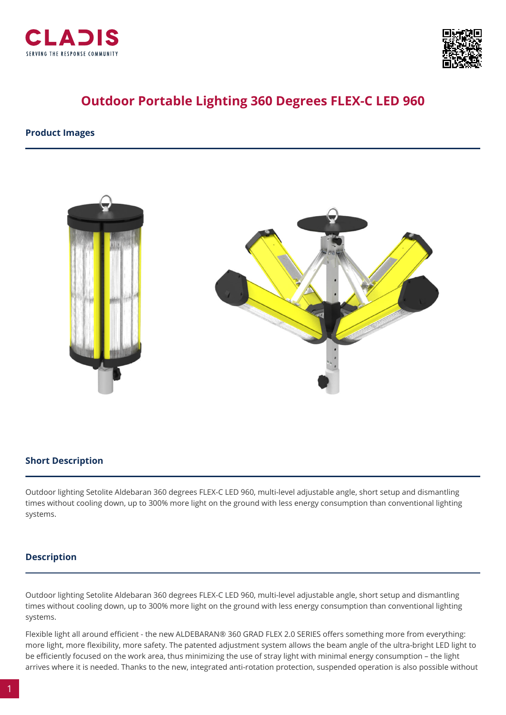



# **Outdoor Portable Lighting 360 Degrees FLEX-C LED 960**

**Product Images**



## **Short Description**

Outdoor lighting Setolite Aldebaran 360 degrees FLEX-C LED 960, multi-level adjustable angle, short setup and dismantling times without cooling down, up to 300% more light on the ground with less energy consumption than conventional lighting systems.

## **Description**

Outdoor lighting Setolite Aldebaran 360 degrees FLEX-C LED 960, multi-level adjustable angle, short setup and dismantling times without cooling down, up to 300% more light on the ground with less energy consumption than conventional lighting systems.

Flexible light all around efficient - the new ALDEBARAN® 360 GRAD FLEX 2.0 SERIES offers something more from everything: more light, more flexibility, more safety. The patented adjustment system allows the beam angle of the ultra-bright LED light to be efficiently focused on the work area, thus minimizing the use of stray light with minimal energy consumption – the light arrives where it is needed. Thanks to the new, integrated anti-rotation protection, suspended operation is also possible without